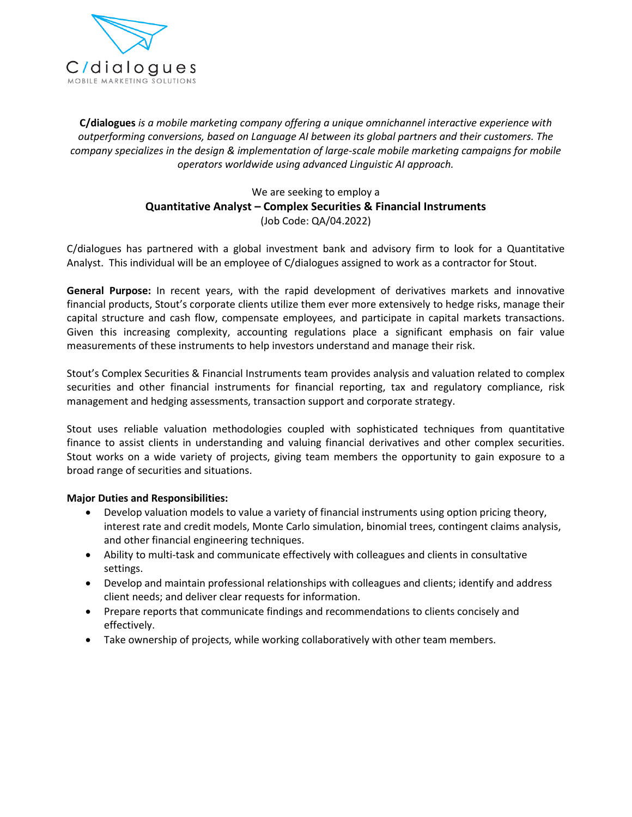

 *is <sup>a</sup> mobile marketing company offering <sup>a</sup> unique omnichannel interactive experience with conversions, based on Language AI between its global partners and their customers. The* **gues** is a mobile marketing company offering a unique omnichannel interactive experience with<br>**gues** is a mobile marketing company offering a unique omnichannel interactive experience with<br>specializes in the desian & impl *worrandage ingeompany offering a unique omnichannel interactive*<br>*Linguistica and the diffused on Language AI between its global partners and the*<br>*& implementation of large-scale mobile marketing care worldwide using adv* rating company offering a unique omnichannel interactive experiency<br>ased on Language AI between its global partners and their custome<br>gn & implementation of large-scale mobile marketing campaigns for<br>a worldwide using adva Inguage AI between its global<br>
ementation of large-scale mot<br>
ide using advanced Linguistic<br>
Le are seeking to employ a<br> **Complex Securities & Fina**<br>
(Job Code: QA/04.2022) C/dialogues

## operators worldwide using advanced Linguistic AI approach.<br>We are seeking to employ a<br>**Quantitative Analyst – Complex Securities & Financial Instruments**<br>(Job Code: QA/04.2022)<br>has partnered with a global investment bank a operators worldwide using advanced Linguistic AI approach.<br>We are seeking to employ a<br>**Quantitative Analyst – Complex Securities & Financial Instruments**<br>(Job Code: QA/04.2022)<br>C/dialogues has partnered with a global inves

**Quantitative Analyst – Complex Securities & Financial Instruments**<br>(Job Code: QA/04.2022)<br>nes has partnered with a global investment bank and advisory firm to look for a Quantitative<br>This individual will be an employee of (Job Code: QA/04.2022)<br>
ues has partnered with a global investment bank and advisory firm to look for a Quantitative<br>
This individual will be an employee of C/dialogues assigned to work as a contractor for Stout.<br> **Purpose** 

 $C$ /dialogues has partnered with a global investment bank and advisory firm to look for a Quantitative<br>Analyst. This individual will be an employee of  $C$ /dialogues assigned to work as a contractor for Stout.<br>**General Pur** gues has partnered with a global investment bank and advisory firm to look for a Quantitative<br>
.. This individual will be an employee of C/dialogues assigned to work as a contractor for Stout.<br>
Il Purpose: In recent years, malyst. This individual will be an employee of C/dialogues assigned to work as a contractor f<br> **General Purpose:** In recent years, with the rapid development of derivatives markets a<br>
financial products, Stout's corporate **I Purpose:** In recent years, with the rapid development of derivatives markets and innovative il products, Stout's corporate clients utilize them ever more extensively to hedge risks, manage their structure and cash flow, **General Purpose:** In recent years, with the rapid development of derivatives markets and innovative financial products, Stout's corporate clients utilize them ever more extensively to hedge risks, manage their Given this increasing complexity, accounting regulations place a significant emphasis on fair value measurements of these instruments to help investors understand and manage their risk.<br>Stout's Complex Securities & Financi capital structure and cash flow, compensate employees, and participate in capital markets transactions. required structure and cash flow, compensate employees, and participate in capital mand-<br>Given this increasing complexity, accounting regulations place a significant emph<br>measurements of these instruments to help investors measurements of these instruments to help investors understand and manage their risk.

The valuation methodologies coupled with sophisticated techniques from quantitative<br>uses reliable valuation methodologies coupled with sophisticated techniques, risk<br>tement and hedging assessments, transaction support and Stout's Complex Securities & Financial Instruments team provides analysis and valuation related to complex<br>securities and other financial instruments for financial reporting, tax and regulatory compliance, risk<br>management s Complex Securities & Financial Instruments team provides analysis and valuation related to complex<br>ties and other financial instruments for financial reporting, tax and regulatory compliance, risk<br>gement and hedging asse

becurities and other financial instruments<br>management and hedging assessments, tran<br>Stout uses reliable valuation methodologie<br>finance to assist clients in understanding a<br>Stout works on a wide variety of projects,<br>broad r Interactional *Responsibilities*:<br>
We use the set of a sist clients in understanding<br>
We use of securities and situations.<br>
The properties and **Responsibilities:**<br>
Suppose the securities and Responsibilities: Ses reliable valuation methodologies coupled with sophisticated techniques from quantitative<br>to assist clients in understanding and valuing financial derivatives and other complex securities.<br>orks on a wide variety of proj to assist clients in understanding and valuing financial derivatives and other complex securities.<br>
orks on a wide variety of projects, giving team members the opportunity to gain exposure to a<br>
singe of securities and sit settings.

- It works on a wide variety of projects, giving tean<br>ad range of securities and situations.<br>**or Duties and Responsibilities:**<br>• Develop valuation models to value a variety of fi<br>interest rate and credit models, Monte Carlo Ability to multi-task and communicate effectively with colleagues and clients in consultative<br>Ability to multi-task and communicate effectively with colleagues and clients in consultative<br>Ability to multi-task and communic **Develop valuation models to value a variety of financial instruments using option pricing theory, interest rate and credit models, Monte Carlo simulation, binomial trees, contingent claims analysis, and other financial en** Devel • Develop valuation models to value a variety of financial instrements interest rate and credit models, Monte Carlo simulation, bin<br>and other financial engineering techniques.<br>Ability to multi-task and communicate effectiv interest rate and credit models, Monte Carlo simulation, binomial trees, contingent claims analysis,<br>and other financial engineering techniques.<br>Ability to multi-task and communicate effectively with colleagues and clients and other financial engineering techniques.
- Ability to mu<br>settings. Ability to multi-task and communicate effectively with colleagues and clients in consultat<br>settings.<br>Develop and maintain professional relationships with colleagues and clients; identify and<br>client needs; and deliver clear
- 
- Prepare reports that communicate findings and recommendations to clients concisely and effectively.
-